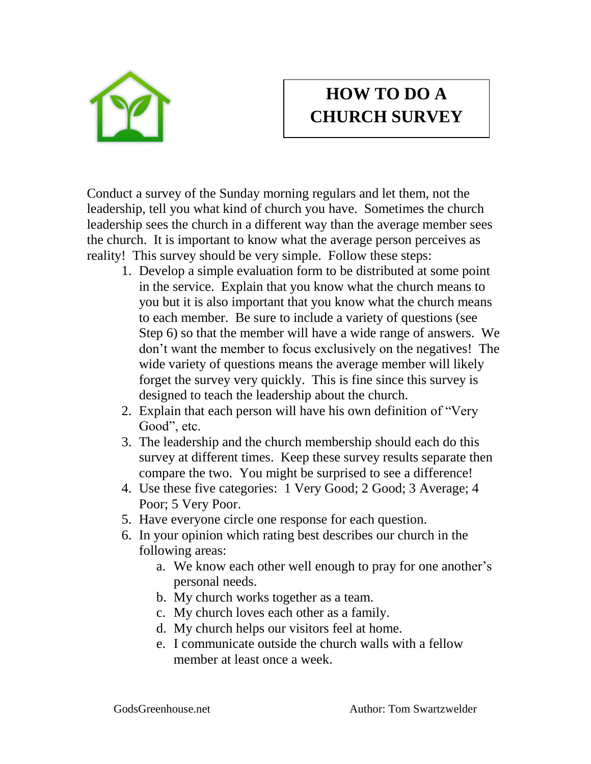

## **HOW TO DO A CHURCH SURVEY**

Conduct a survey of the Sunday morning regulars and let them, not the leadership, tell you what kind of church you have. Sometimes the church leadership sees the church in a different way than the average member sees the church. It is important to know what the average person perceives as reality! This survey should be very simple. Follow these steps:

- 1. Develop a simple evaluation form to be distributed at some point in the service. Explain that you know what the church means to you but it is also important that you know what the church means to each member. Be sure to include a variety of questions (see Step 6) so that the member will have a wide range of answers. We don't want the member to focus exclusively on the negatives! The wide variety of questions means the average member will likely forget the survey very quickly. This is fine since this survey is designed to teach the leadership about the church.
- 2. Explain that each person will have his own definition of "Very Good", etc.
- 3. The leadership and the church membership should each do this survey at different times. Keep these survey results separate then compare the two. You might be surprised to see a difference!
- 4. Use these five categories: 1 Very Good; 2 Good; 3 Average; 4 Poor; 5 Very Poor.
- 5. Have everyone circle one response for each question.
- 6. In your opinion which rating best describes our church in the following areas:
	- a. We know each other well enough to pray for one another's personal needs.
	- b. My church works together as a team.
	- c. My church loves each other as a family.
	- d. My church helps our visitors feel at home.
	- e. I communicate outside the church walls with a fellow member at least once a week.